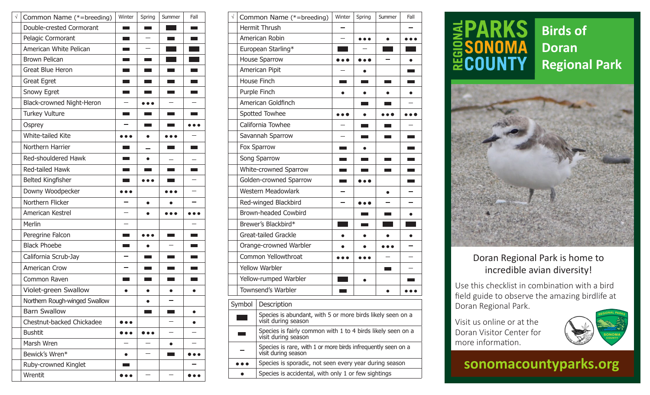| $\sqrt{}$ | Common Name (*=breeding)      | Winter                     | Spring                        | Summer          | Fall            |
|-----------|-------------------------------|----------------------------|-------------------------------|-----------------|-----------------|
|           | Double-crested Cormorant      | <b>The Co</b>              |                               |                 | <b>Links</b>    |
|           | Pelagic Cormorant             |                            |                               |                 |                 |
|           | American White Pelican        | $\mathcal{L}^{\text{max}}$ |                               | a a s           | m.              |
|           | <b>Brown Pelican</b>          |                            |                               |                 |                 |
|           | Great Blue Heron              |                            |                               |                 |                 |
|           | <b>Great Egret</b>            |                            |                               |                 |                 |
|           | Snowy Egret                   | <b>Contract</b>            | <b>Contract</b>               | <b>Contract</b> | <b>Contract</b> |
|           | Black-crowned Night-Heron     |                            |                               |                 |                 |
|           | <b>Turkey Vulture</b>         |                            |                               |                 |                 |
|           | Osprey                        |                            | <b>The Contract of Street</b> |                 |                 |
|           | White-tailed Kite             |                            | $\bullet$                     |                 |                 |
|           | Northern Harrier              |                            |                               |                 |                 |
|           | Red-shouldered Hawk           |                            | $\bullet$                     |                 |                 |
|           | Red-tailed Hawk               |                            |                               |                 |                 |
|           | Belted Kingfisher             |                            |                               |                 |                 |
|           | Downy Woodpecker              | $\bullet\bullet\bullet$    |                               | .               |                 |
|           | Northern Flicker              |                            |                               |                 |                 |
|           | American Kestrel              |                            |                               |                 |                 |
|           | Merlin                        |                            |                               |                 |                 |
|           | Peregrine Falcon              | <b>Contract</b>            |                               |                 | <b>Contract</b> |
|           | <b>Black Phoebe</b>           |                            | $\bullet$                     |                 |                 |
|           | California Scrub-Jay          |                            |                               |                 |                 |
|           | <b>American Crow</b>          |                            |                               |                 |                 |
|           | Common Raven                  |                            |                               |                 |                 |
|           | Violet-green Swallow          | $\bullet$                  |                               |                 |                 |
|           | Northern Rough-winged Swallow |                            |                               |                 |                 |
|           | <b>Barn Swallow</b>           |                            |                               |                 | ●               |
|           | Chestnut-backed Chickadee     |                            |                               |                 |                 |
|           | <b>Bushtit</b>                | $\bullet\bullet$           | .                             |                 |                 |
|           | Marsh Wren                    |                            |                               | $\bullet$       |                 |
|           | Bewick's Wren*                | $\bullet$                  |                               |                 |                 |
|           | Ruby-crowned Kinglet          | <b>The College</b>         |                               |                 |                 |
|           | Wrentit                       | $\bullet\bullet\bullet$    |                               |                 | .               |

| Winter                                                                                                         | Spring          | Summer                 | Fall          | $\sqrt{}$ |              | Common Name (*=breeding)    | Winter              | Spring                                                                                                         | Summer          | Fall               |
|----------------------------------------------------------------------------------------------------------------|-----------------|------------------------|---------------|-----------|--------------|-----------------------------|---------------------|----------------------------------------------------------------------------------------------------------------|-----------------|--------------------|
|                                                                                                                | <b>Contract</b> |                        |               |           |              | Hermit Thrush               |                     |                                                                                                                |                 |                    |
| m.                                                                                                             |                 |                        |               |           |              | American Robin              |                     | $\bullet$ $\bullet$                                                                                            | $\bullet$       |                    |
| m.                                                                                                             | -               |                        |               |           |              | European Starling*          |                     |                                                                                                                |                 |                    |
| an an I                                                                                                        |                 |                        |               |           |              | <b>House Sparrow</b>        | $\bullet$ $\bullet$ |                                                                                                                |                 |                    |
| <b>The Co</b>                                                                                                  |                 |                        |               |           |              | American Pipit              |                     |                                                                                                                |                 |                    |
| a a T                                                                                                          |                 |                        |               |           | House Finch  |                             | <b>College</b>      | <b>Contract</b>                                                                                                | <b>Contract</b> | <b>The Company</b> |
| an an                                                                                                          |                 |                        |               |           | Purple Finch |                             | $\bullet$           | $\bullet$                                                                                                      |                 | $\bullet$          |
|                                                                                                                |                 |                        |               |           |              | American Goldfinch          |                     |                                                                                                                |                 |                    |
|                                                                                                                |                 |                        |               |           |              | Spotted Towhee              |                     | $\bullet$                                                                                                      |                 |                    |
|                                                                                                                |                 |                        |               |           |              | California Towhee           |                     |                                                                                                                |                 |                    |
|                                                                                                                | $\bullet$       |                        |               |           |              | Savannah Sparrow            |                     | and the state of the state of the state of the state of the state of the state of the state of the state of th |                 |                    |
|                                                                                                                |                 | <b>Contract</b>        | <b>The Co</b> |           | Fox Sparrow  |                             | m.                  | $\bullet$                                                                                                      |                 |                    |
| <b>Service Service</b>                                                                                         | $\bullet$       |                        |               |           |              | Song Sparrow                | <b>Contract</b>     | <b>The Co</b>                                                                                                  | <b>Contract</b> |                    |
| - 1                                                                                                            |                 | <b>Service Service</b> | $\sim 10$     |           |              | White-crowned Sparrow       | <b>Contract</b>     |                                                                                                                |                 |                    |
|                                                                                                                | .               |                        |               |           |              | Golden-crowned Sparrow      | <b>The Co</b>       | $\bullet\bullet\bullet$                                                                                        |                 |                    |
| $\bullet$ $\bullet$                                                                                            |                 |                        |               |           |              | Western Meadowlark          |                     |                                                                                                                | $\bullet$       |                    |
|                                                                                                                | $\bullet$       |                        |               |           |              | Red-winged Blackbird        |                     | .                                                                                                              |                 |                    |
|                                                                                                                | $\bullet$       |                        | .             |           |              | <b>Brown-headed Cowbird</b> |                     |                                                                                                                |                 |                    |
|                                                                                                                |                 |                        |               |           |              | Brewer's Blackbird*         |                     |                                                                                                                |                 |                    |
| m.                                                                                                             | .               |                        |               |           |              | Great-tailed Grackle        | $\bullet$           | $\bullet$                                                                                                      | $\bullet$       | $\bullet$          |
| and the state of the state of the state of the state of the state of the state of the state of the state of th | $\bullet$       |                        |               |           |              | Orange-crowned Warbler      | $\bullet$           |                                                                                                                |                 |                    |
|                                                                                                                |                 |                        |               |           |              | Common Yellowthroat         |                     |                                                                                                                |                 |                    |
|                                                                                                                |                 | <b>Contract</b>        |               |           |              | Yellow Warbler              |                     |                                                                                                                | <b>The Co</b>   |                    |
|                                                                                                                |                 |                        |               |           |              | Yellow-rumped Warbler       |                     | $\bullet$                                                                                                      |                 |                    |
|                                                                                                                | $\bullet$       | $\bullet$              | $\bullet$     |           |              | Townsend's Warbler          |                     |                                                                                                                |                 |                    |
|                                                                                                                | $\bullet$       |                        |               |           |              |                             |                     |                                                                                                                |                 |                    |
|                                                                                                                |                 |                        |               |           | Symbol       | Description                 |                     |                                                                                                                |                 |                    |

|    | Species is abundant, with 5 or more birds likely seen on a<br>visit during season   |
|----|-------------------------------------------------------------------------------------|
| m. | Species is fairly common with 1 to 4 birds likely seen on a<br>visit during season  |
|    | Species is rare, with 1 or more birds infrequently seen on a<br>visit during season |
|    | Species is sporadic, not seen every year during season                              |
|    | Species is accidental, with only 1 or few sightings                                 |

## 

## **Birds of Doran Regional Park**



## Doran Regional Park is home to incredible avian diversity!

Use this checklist in combination with a bird field guide to observe the amazing birdlife at Doran Regional Park.

Visit us online or at the Doran Visitor Center for more information.



## **sonomacountyparks.org**